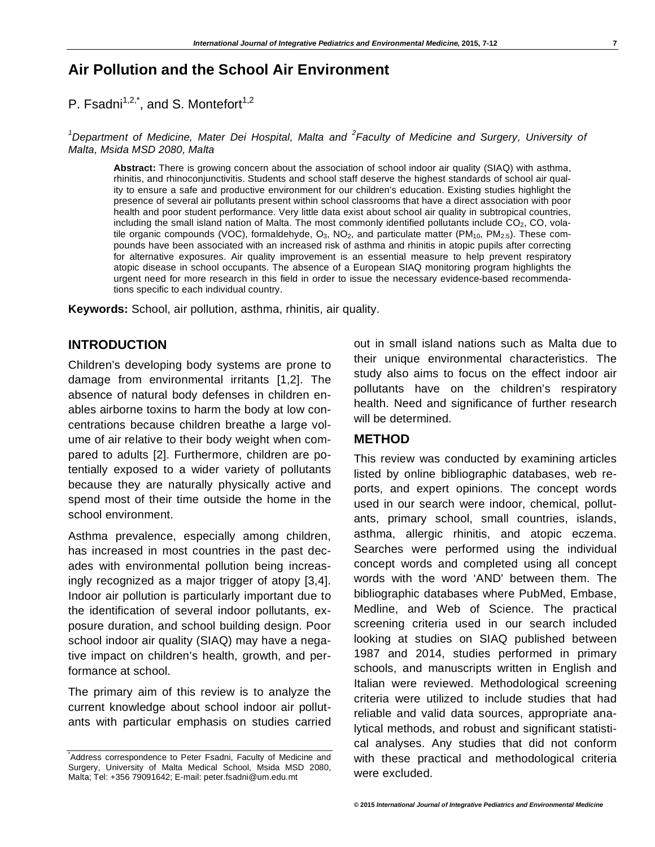# **Air Pollution and the School Air Environment**

P. Fsadni $1,2,3$ , and S. Montefort<sup>1,2</sup>

<sup>1</sup>Department of Medicine, Mater Dei Hospital, Malta and <sup>2</sup> Faculty of Medicine and Surgery, University of *Malta, Msida MSD 2080, Malta* 

**Abstract:** There is growing concern about the association of school indoor air quality (SIAQ) with asthma, rhinitis, and rhinoconjunctivitis. Students and school staff deserve the highest standards of school air quality to ensure a safe and productive environment for our children's education. Existing studies highlight the presence of several air pollutants present within school classrooms that have a direct association with poor health and poor student performance. Very little data exist about school air quality in subtropical countries, including the small island nation of Malta. The most commonly identified pollutants include  $CO<sub>2</sub>$ , CO, volatile organic compounds (VOC), formaldehyde,  $O_3$ , NO<sub>2</sub>, and particulate matter (PM<sub>10</sub>, PM<sub>2.5</sub>). These compounds have been associated with an increased risk of asthma and rhinitis in atopic pupils after correcting for alternative exposures. Air quality improvement is an essential measure to help prevent respiratory atopic disease in school occupants. The absence of a European SIAQ monitoring program highlights the urgent need for more research in this field in order to issue the necessary evidence-based recommendations specific to each individual country.

**Keywords:** School, air pollution, asthma, rhinitis, air quality.

#### **INTRODUCTION**

Children's developing body systems are prone to damage from environmental irritants [1,2]. The absence of natural body defenses in children enables airborne toxins to harm the body at low concentrations because children breathe a large volume of air relative to their body weight when compared to adults [2]. Furthermore, children are potentially exposed to a wider variety of pollutants because they are naturally physically active and spend most of their time outside the home in the school environment.

Asthma prevalence, especially among children, has increased in most countries in the past decades with environmental pollution being increasingly recognized as a major trigger of atopy [3,4]. Indoor air pollution is particularly important due to the identification of several indoor pollutants, exposure duration, and school building design. Poor school indoor air quality (SIAQ) may have a negative impact on children's health, growth, and performance at school.

The primary aim of this review is to analyze the current knowledge about school indoor air pollutants with particular emphasis on studies carried out in small island nations such as Malta due to their unique environmental characteristics. The study also aims to focus on the effect indoor air pollutants have on the children's respiratory health. Need and significance of further research will be determined.

#### **METHOD**

This review was conducted by examining articles listed by online bibliographic databases, web reports, and expert opinions. The concept words used in our search were indoor, chemical, pollutants, primary school, small countries, islands, asthma, allergic rhinitis, and atopic eczema. Searches were performed using the individual concept words and completed using all concept words with the word 'AND' between them. The bibliographic databases where PubMed, Embase, Medline, and Web of Science. The practical screening criteria used in our search included looking at studies on SIAQ published between 1987 and 2014, studies performed in primary schools, and manuscripts written in English and Italian were reviewed. Methodological screening criteria were utilized to include studies that had reliable and valid data sources, appropriate analytical methods, and robust and significant statistical analyses. Any studies that did not conform with these practical and methodological criteria were excluded.

<sup>\*</sup> Address correspondence to Peter Fsadni, Faculty of Medicine and Surgery, University of Malta Medical School, Msida MSD 2080, Malta; Tel: +356 79091642; E-mail: peter.fsadni@um.edu.mt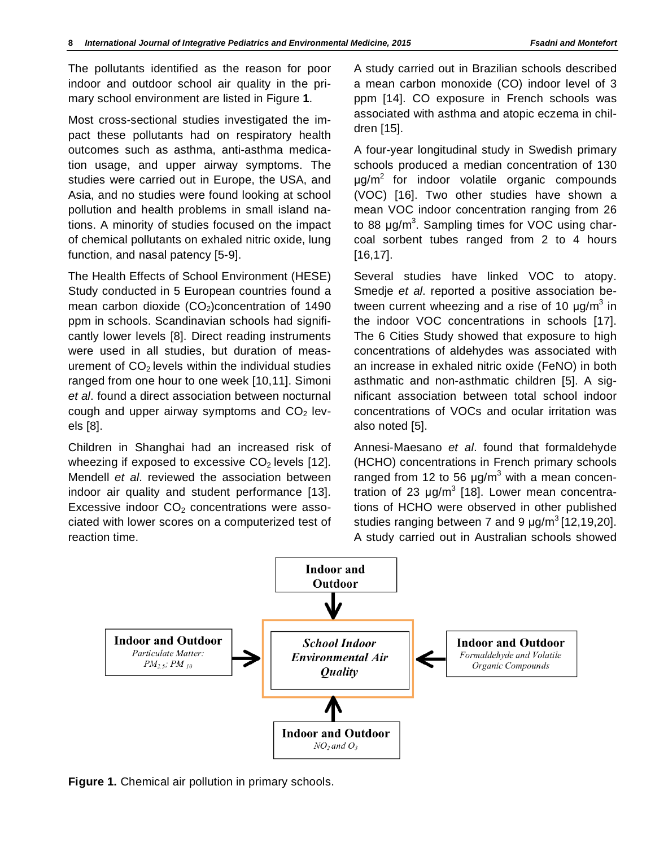The pollutants identified as the reason for poor indoor and outdoor school air quality in the primary school environment are listed in Figure **1**.

Most cross-sectional studies investigated the impact these pollutants had on respiratory health outcomes such as asthma, anti-asthma medication usage, and upper airway symptoms. The studies were carried out in Europe, the USA, and Asia, and no studies were found looking at school pollution and health problems in small island nations. A minority of studies focused on the impact of chemical pollutants on exhaled nitric oxide, lung function, and nasal patency [5-9].

The Health Effects of School Environment (HESE) Study conducted in 5 European countries found a mean carbon dioxide  $(CO<sub>2</sub>)$ concentration of 1490 ppm in schools. Scandinavian schools had significantly lower levels [8]. Direct reading instruments were used in all studies, but duration of measurement of  $CO<sub>2</sub>$  levels within the individual studies ranged from one hour to one week [10,11]. Simoni *et al*. found a direct association between nocturnal cough and upper airway symptoms and  $CO<sub>2</sub>$  levels [8].

Children in Shanghai had an increased risk of wheezing if exposed to excessive  $CO<sub>2</sub>$  levels [12]. Mendell *et al*. reviewed the association between indoor air quality and student performance [13]. Excessive indoor  $CO<sub>2</sub>$  concentrations were associated with lower scores on a computerized test of reaction time.

A study carried out in Brazilian schools described a mean carbon monoxide (CO) indoor level of 3 ppm [14]. CO exposure in French schools was associated with asthma and atopic eczema in children [15].

A four-year longitudinal study in Swedish primary schools produced a median concentration of 130  $\mu$ g/m<sup>2</sup> for indoor volatile organic compounds (VOC) [16]. Two other studies have shown a mean VOC indoor concentration ranging from 26 to 88  $\mu$ g/m<sup>3</sup>. Sampling times for VOC using charcoal sorbent tubes ranged from 2 to 4 hours [16,17].

Several studies have linked VOC to atopy. Smedje *et al*. reported a positive association between current wheezing and a rise of 10  $\mu$ g/m<sup>3</sup> in the indoor VOC concentrations in schools [17]. The 6 Cities Study showed that exposure to high concentrations of aldehydes was associated with an increase in exhaled nitric oxide (FeNO) in both asthmatic and non-asthmatic children [5]. A significant association between total school indoor concentrations of VOCs and ocular irritation was also noted [5].

Annesi-Maesano *et al*. found that formaldehyde (HCHO) concentrations in French primary schools ranged from 12 to 56  $\mu$ g/m<sup>3</sup> with a mean concentration of 23  $\mu$ g/m<sup>3</sup> [18]. Lower mean concentrations of HCHO were observed in other published studies ranging between 7 and 9  $\mu$ g/m<sup>3</sup> [12,19,20]. A study carried out in Australian schools showed



**Figure 1.** Chemical air pollution in primary schools.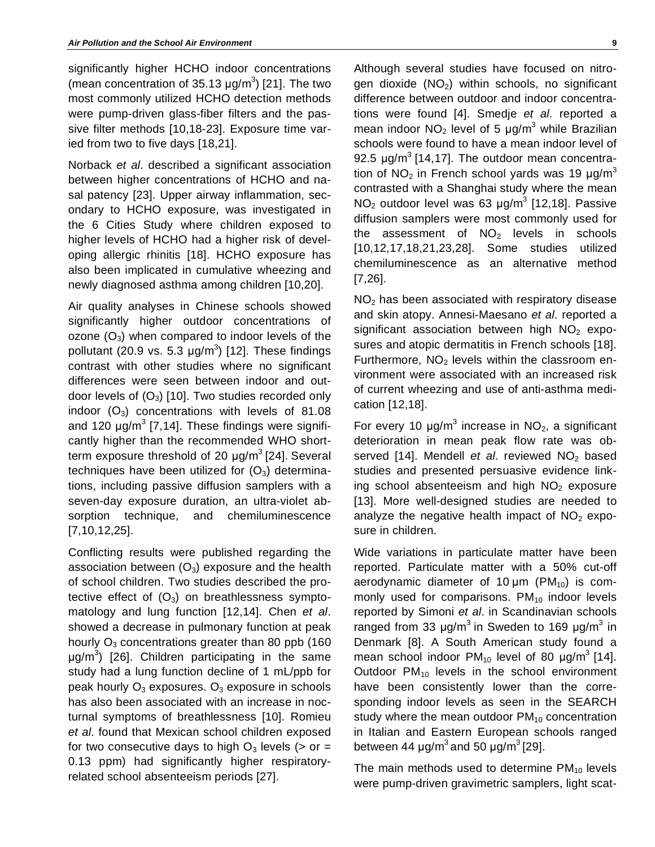significantly higher HCHO indoor concentrations (mean concentration of  $35.13 \mu g/m^3$ ) [21]. The two most commonly utilized HCHO detection methods were pump-driven glass-fiber filters and the passive filter methods [10,18-23]. Exposure time varied from two to five days [18,21].

Norback *et al*. described a significant association between higher concentrations of HCHO and nasal patency [23]. Upper airway inflammation, secondary to HCHO exposure, was investigated in the 6 Cities Study where children exposed to higher levels of HCHO had a higher risk of developing allergic rhinitis [18]. HCHO exposure has also been implicated in cumulative wheezing and newly diagnosed asthma among children [10,20].

Air quality analyses in Chinese schools showed significantly higher outdoor concentrations of ozone  $(O_3)$  when compared to indoor levels of the pollutant (20.9 vs. 5.3  $\mu$ g/m<sup>3</sup>) [12]. These findings contrast with other studies where no significant differences were seen between indoor and outdoor levels of  $(O_3)$  [10]. Two studies recorded only indoor  $(O_3)$  concentrations with levels of 81.08 and 120  $\mu$ g/m $3$  [7,14]. These findings were significantly higher than the recommended WHO shortterm exposure threshold of 20  $\mu$ g/m<sup>3</sup> [24]. Several techniques have been utilized for  $(O_3)$  determinations, including passive diffusion samplers with a seven-day exposure duration, an ultra-violet absorption technique, and chemiluminescence [7,10,12,25].

Conflicting results were published regarding the association between  $(O_3)$  exposure and the health of school children. Two studies described the protective effect of  $(O_3)$  on breathlessness symptomatology and lung function [12,14]. Chen *et al*. showed a decrease in pulmonary function at peak hourly  $O_3$  concentrations greater than 80 ppb (160  $\mu$ g/m<sup>3</sup>) [26]. Children participating in the same study had a lung function decline of 1 mL/ppb for peak hourly  $O_3$  exposures.  $O_3$  exposure in schools has also been associated with an increase in nocturnal symptoms of breathlessness [10]. Romieu *et al*. found that Mexican school children exposed for two consecutive days to high  $O_3$  levels ( $>$  or = 0.13 ppm) had significantly higher respiratoryrelated school absenteeism periods [27].

Although several studies have focused on nitrogen dioxide  $(NO<sub>2</sub>)$  within schools, no significant difference between outdoor and indoor concentrations were found [4]. Smedje *et al*. reported a mean indoor NO<sub>2</sub> level of 5  $\mu$ g/m<sup>3</sup> while Brazilian schools were found to have a mean indoor level of 92.5  $\mu$ g/m<sup>3</sup> [14,17]. The outdoor mean concentration of NO<sub>2</sub> in French school yards was 19  $\mu$ g/m<sup>3</sup> contrasted with a Shanghai study where the mean  $NO<sub>2</sub>$  outdoor level was 63  $\mu$ g/m<sup>3</sup> [12,18]. Passive diffusion samplers were most commonly used for the assessment of  $NO<sub>2</sub>$  levels in schools [10,12,17,18,21,23,28]. Some studies utilized chemiluminescence as an alternative method [7,26].

NO2 has been associated with respiratory disease and skin atopy. Annesi-Maesano *et al*. reported a significant association between high  $NO<sub>2</sub>$  exposures and atopic dermatitis in French schools [18]. Furthermore,  $NO<sub>2</sub>$  levels within the classroom environment were associated with an increased risk of current wheezing and use of anti-asthma medication [12,18].

For every 10  $\mu$ g/m<sup>3</sup> increase in NO<sub>2</sub>, a significant deterioration in mean peak flow rate was observed [14]. Mendell *et al.* reviewed NO<sub>2</sub> based studies and presented persuasive evidence linking school absenteeism and high  $NO<sub>2</sub>$  exposure [13]. More well-designed studies are needed to analyze the negative health impact of  $NO<sub>2</sub>$  exposure in children.

Wide variations in particulate matter have been reported. Particulate matter with a 50% cut-off aerodynamic diameter of 10  $\mu$ m (PM<sub>10</sub>) is commonly used for comparisons.  $PM_{10}$  indoor levels reported by Simoni *et al*. in Scandinavian schools ranged from 33  $\mu$ g/m<sup>3</sup> in Sweden to 169  $\mu$ g/m<sup>3</sup> in Denmark [8]. A South American study found a mean school indoor  $PM_{10}$  level of 80  $\mu$ g/m<sup>3</sup> [14]. Outdoor  $PM_{10}$  levels in the school environment have been consistently lower than the corresponding indoor levels as seen in the SEARCH study where the mean outdoor  $PM<sub>10</sub>$  concentration in Italian and Eastern European schools ranged between 44  $\mu$ g/m<sup>3</sup> and 50  $\mu$ g/m<sup>3</sup> [29].

The main methods used to determine  $PM_{10}$  levels were pump-driven gravimetric samplers, light scat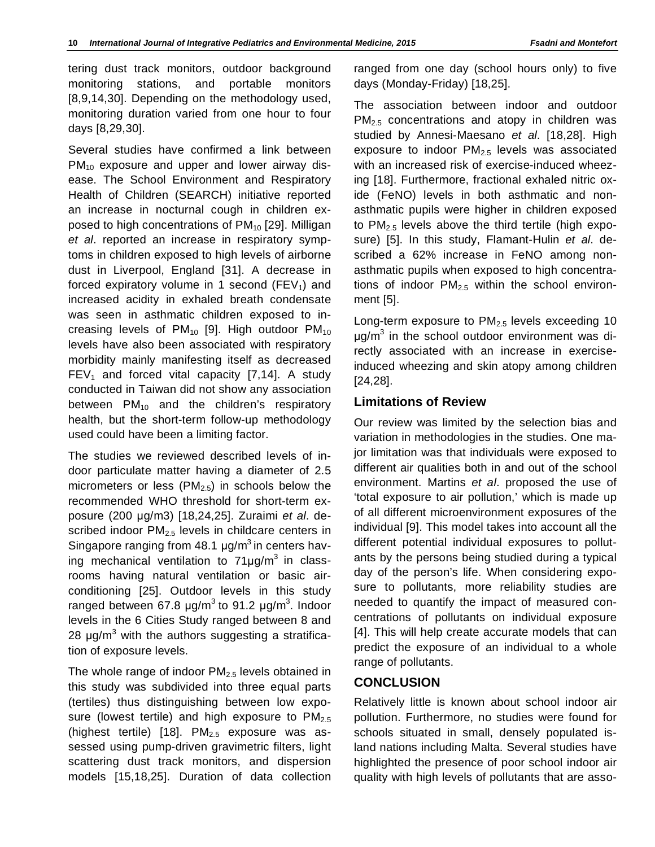tering dust track monitors, outdoor background monitoring stations, and portable monitors [8,9,14,30]. Depending on the methodology used, monitoring duration varied from one hour to four days [8,29,30].

Several studies have confirmed a link between  $PM_{10}$  exposure and upper and lower airway disease. The School Environment and Respiratory Health of Children (SEARCH) initiative reported an increase in nocturnal cough in children exposed to high concentrations of PM<sub>10</sub> [29]. Milligan *et al*. reported an increase in respiratory symptoms in children exposed to high levels of airborne dust in Liverpool, England [31]. A decrease in forced expiratory volume in 1 second ( $FEV<sub>1</sub>$ ) and increased acidity in exhaled breath condensate was seen in asthmatic children exposed to increasing levels of  $PM_{10}$  [9]. High outdoor  $PM_{10}$ levels have also been associated with respiratory morbidity mainly manifesting itself as decreased  $FEV<sub>1</sub>$  and forced vital capacity [7,14]. A study conducted in Taiwan did not show any association between  $PM_{10}$  and the children's respiratory health, but the short-term follow-up methodology used could have been a limiting factor.

The studies we reviewed described levels of indoor particulate matter having a diameter of 2.5 micrometers or less  $(PM_{2.5})$  in schools below the recommended WHO threshold for short-term exposure (200 g/m3) [18,24,25]. Zuraimi *et al*. described indoor  $PM<sub>2.5</sub>$  levels in childcare centers in Singapore ranging from  $48.1 \mu g/m^3$  in centers having mechanical ventilation to  $71\mu$ g/m<sup>3</sup> in classrooms having natural ventilation or basic airconditioning [25]. Outdoor levels in this study ranged between 67.8  $\mu$ g/m<sup>3</sup> to 91.2  $\mu$ g/m<sup>3</sup>. Indoor levels in the 6 Cities Study ranged between 8 and 28  $\mu$ g/m<sup>3</sup> with the authors suggesting a stratification of exposure levels.

The whole range of indoor  $PM<sub>2.5</sub>$  levels obtained in this study was subdivided into three equal parts (tertiles) thus distinguishing between low exposure (lowest tertile) and high exposure to  $PM_{2.5}$ (highest tertile) [18].  $PM<sub>2.5</sub>$  exposure was assessed using pump-driven gravimetric filters, light scattering dust track monitors, and dispersion models [15,18,25]. Duration of data collection

ranged from one day (school hours only) to five days (Monday-Friday) [18,25].

The association between indoor and outdoor PM<sub>2.5</sub> concentrations and atopy in children was studied by Annesi-Maesano *et al*. [18,28]. High exposure to indoor  $PM<sub>2.5</sub>$  levels was associated with an increased risk of exercise-induced wheezing [18]. Furthermore, fractional exhaled nitric oxide (FeNO) levels in both asthmatic and nonasthmatic pupils were higher in children exposed to  $PM_{2.5}$  levels above the third tertile (high exposure) [5]. In this study, Flamant-Hulin *et al*. described a 62% increase in FeNO among nonasthmatic pupils when exposed to high concentrations of indoor  $PM<sub>2.5</sub>$  within the school environment [5].

Long-term exposure to  $PM<sub>2.5</sub>$  levels exceeding 10 µg/m<sup>3</sup> in the school outdoor environment was directly associated with an increase in exerciseinduced wheezing and skin atopy among children [24,28].

# **Limitations of Review**

Our review was limited by the selection bias and variation in methodologies in the studies. One major limitation was that individuals were exposed to different air qualities both in and out of the school environment. Martins *et al*. proposed the use of 'total exposure to air pollution,' which is made up of all different microenvironment exposures of the individual [9]. This model takes into account all the different potential individual exposures to pollutants by the persons being studied during a typical day of the person's life. When considering exposure to pollutants, more reliability studies are needed to quantify the impact of measured concentrations of pollutants on individual exposure [4]. This will help create accurate models that can predict the exposure of an individual to a whole range of pollutants.

# **CONCLUSION**

Relatively little is known about school indoor air pollution. Furthermore, no studies were found for schools situated in small, densely populated island nations including Malta. Several studies have highlighted the presence of poor school indoor air quality with high levels of pollutants that are asso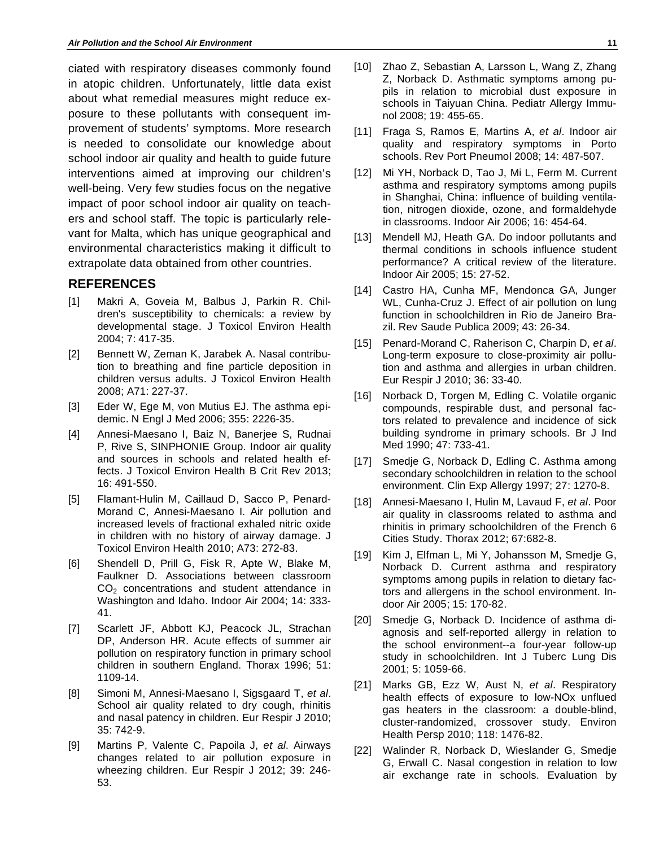ciated with respiratory diseases commonly found in atopic children. Unfortunately, little data exist about what remedial measures might reduce exposure to these pollutants with consequent improvement of students' symptoms. More research is needed to consolidate our knowledge about school indoor air quality and health to guide future interventions aimed at improving our children's well-being. Very few studies focus on the negative impact of poor school indoor air quality on teachers and school staff. The topic is particularly relevant for Malta, which has unique geographical and environmental characteristics making it difficult to extrapolate data obtained from other countries.

### **REFERENCES**

- [1] Makri A, Goveia M, Balbus J, Parkin R. Children's susceptibility to chemicals: a review by developmental stage. J Toxicol Environ Health 2004; 7: 417-35.
- [2] Bennett W, Zeman K, Jarabek A. Nasal contribution to breathing and fine particle deposition in children versus adults. J Toxicol Environ Health 2008; A71: 227-37.
- [3] Eder W, Ege M, von Mutius EJ. The asthma epidemic. N Engl J Med 2006; 355: 2226-35.
- [4] Annesi-Maesano I, Baiz N, Banerjee S, Rudnai P, Rive S, SINPHONIE Group. Indoor air quality and sources in schools and related health effects. J Toxicol Environ Health B Crit Rev 2013; 16: 491-550.
- [5] Flamant-Hulin M, Caillaud D, Sacco P, Penard-Morand C, Annesi-Maesano I. Air pollution and increased levels of fractional exhaled nitric oxide in children with no history of airway damage. J Toxicol Environ Health 2010; A73: 272-83.
- [6] Shendell D, Prill G, Fisk R, Apte W, Blake M, Faulkner D. Associations between classroom CO<sub>2</sub> concentrations and student attendance in Washington and Idaho. Indoor Air 2004; 14: 333- 41.
- [7] Scarlett JF, Abbott KJ, Peacock JL, Strachan DP, Anderson HR. Acute effects of summer air pollution on respiratory function in primary school children in southern England. Thorax 1996; 51: 1109-14.
- [8] Simoni M, Annesi-Maesano I, Sigsgaard T, *et al*. School air quality related to dry cough, rhinitis and nasal patency in children. Eur Respir J 2010; 35: 742-9.
- [9] Martins P, Valente C, Papoila J, *et al*. Airways changes related to air pollution exposure in wheezing children. Eur Respir J 2012; 39: 246- 53.
- [10] Zhao Z, Sebastian A, Larsson L, Wang Z, Zhang Z, Norback D. Asthmatic symptoms among pupils in relation to microbial dust exposure in schools in Taiyuan China. Pediatr Allergy Immunol 2008; 19: 455-65.
- [11] Fraga S, Ramos E, Martins A, *et al*. Indoor air quality and respiratory symptoms in Porto schools. Rev Port Pneumol 2008; 14: 487-507.
- [12] Mi YH, Norback D, Tao J, Mi L, Ferm M. Current asthma and respiratory symptoms among pupils in Shanghai, China: influence of building ventilation, nitrogen dioxide, ozone, and formaldehyde in classrooms. Indoor Air 2006; 16: 454-64.
- [13] Mendell MJ, Heath GA, Do indoor pollutants and thermal conditions in schools influence student performance? A critical review of the literature. Indoor Air 2005; 15: 27-52.
- [14] Castro HA, Cunha MF, Mendonca GA, Junger WL, Cunha-Cruz J. Effect of air pollution on lung function in schoolchildren in Rio de Janeiro Brazil. Rev Saude Publica 2009; 43: 26-34.
- [15] Penard-Morand C, Raherison C, Charpin D, *et al*. Long-term exposure to close-proximity air pollution and asthma and allergies in urban children. Eur Respir J 2010; 36: 33-40.
- [16] Norback D, Torgen M, Edling C. Volatile organic compounds, respirable dust, and personal factors related to prevalence and incidence of sick building syndrome in primary schools. Br J Ind Med 1990; 47: 733-41.
- [17] Smedje G, Norback D, Edling C. Asthma among secondary schoolchildren in relation to the school environment. Clin Exp Allergy 1997; 27: 1270-8.
- [18] Annesi-Maesano I, Hulin M, Lavaud F, *et al*. Poor air quality in classrooms related to asthma and rhinitis in primary schoolchildren of the French 6 Cities Study. Thorax 2012; 67:682-8.
- [19] Kim J, Elfman L, Mi Y, Johansson M, Smedje G, Norback D. Current asthma and respiratory symptoms among pupils in relation to dietary factors and allergens in the school environment. Indoor Air 2005; 15: 170-82.
- [20] Smedje G, Norback D. Incidence of asthma diagnosis and self-reported allergy in relation to the school environment--a four-year follow-up study in schoolchildren. Int J Tuberc Lung Dis 2001; 5: 1059-66.
- [21] Marks GB, Ezz W, Aust N, *et al*. Respiratory health effects of exposure to low-NOx unflued gas heaters in the classroom: a double-blind, cluster-randomized, crossover study. Environ Health Persp 2010; 118: 1476-82.
- [22] Walinder R, Norback D, Wieslander G, Smedje G, Erwall C. Nasal congestion in relation to low air exchange rate in schools. Evaluation by